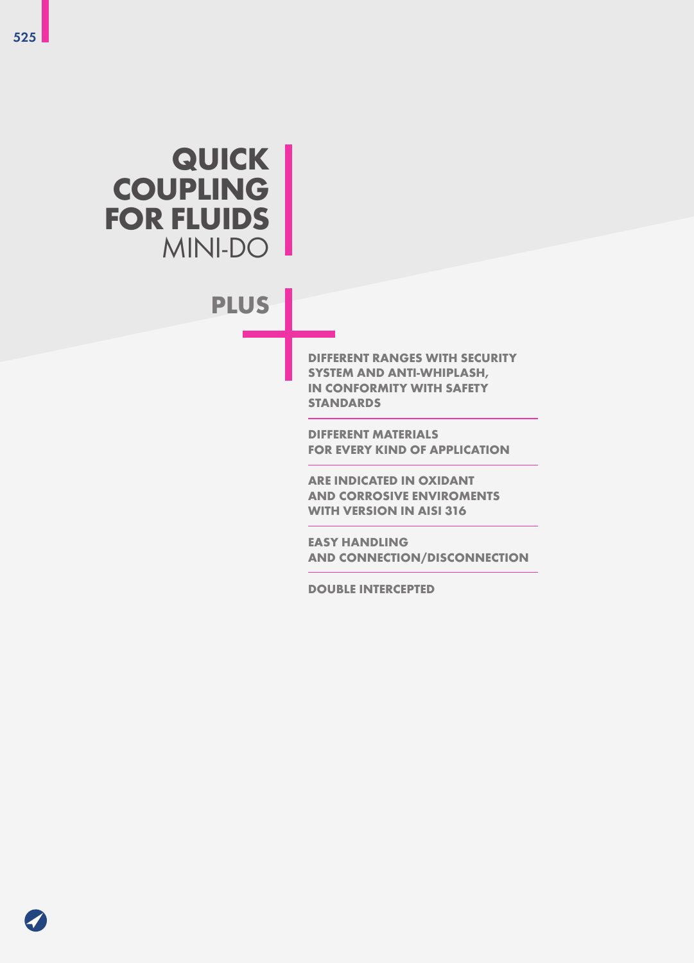# **QUICK COUPLING FOR FLUIDS** MINI-DO

# **PLUS**

**DIFFERENT RANGES WITH SECURITY SYSTEM AND ANTI-WHIPLASH, IN CONFORMITY WITH SAFETY STANDARDS** 

**DIFFERENT MATERIALS FOR EVERY KIND OF APPLICATION**

**ARE INDICATED IN OXIDANT AND CORROSIVE ENVIROMENTS WITH VERSION IN AISI 316**

**EASY HANDLING AND CONNECTION/DISCONNECTION**

**DOUBLE INTERCEPTED**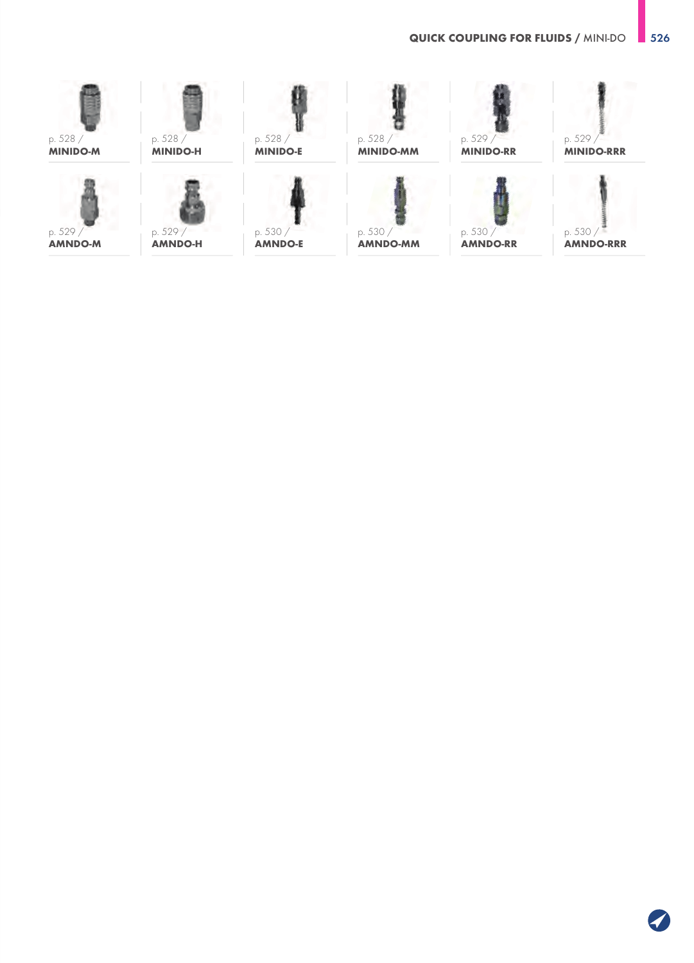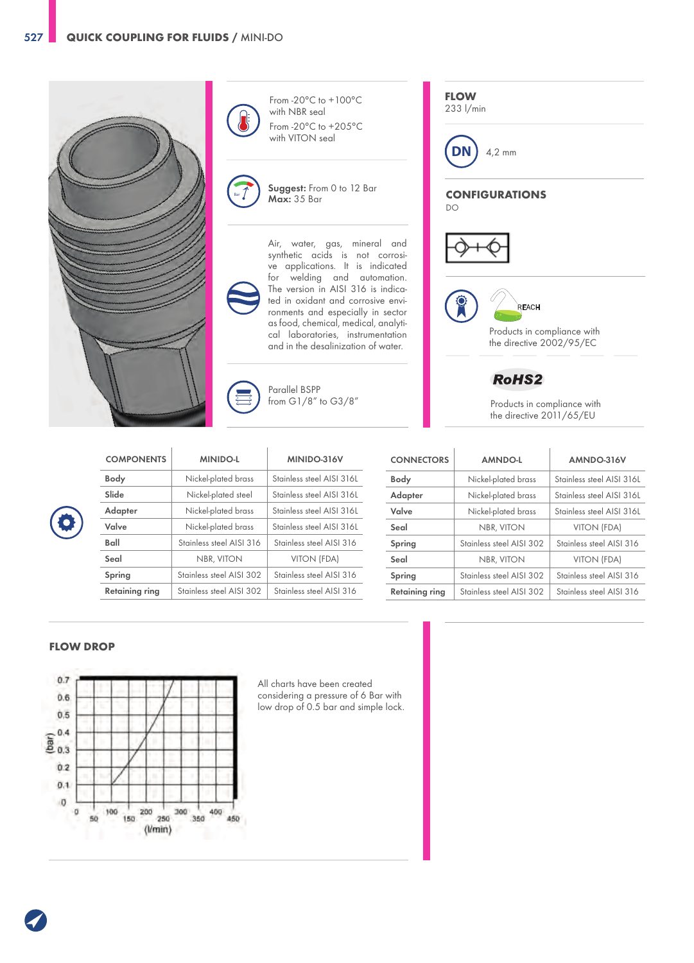

From -20°C to +100°C with NBR seal From -20°C to +205°C with VITON seal

Suggest: From 0 to 12 Bar Max: 35 Bar

Air, water, gas, mineral and synthetic acids is not corrosive applications. It is indicated for welding and automation. The version in AISI 316 is indicated in oxidant and corrosive environments and especially in sector as food, chemical, medical, analytical laboratories, instrumentation and in the desalinization of water.

### Parallel BSPP from G1/8" to G3/8"

 $\overline{1}$ 

| <b>COMPONENTS</b> | <b>MINIDO-L</b>          | MINIDO-316V               |
|-------------------|--------------------------|---------------------------|
| Body              | Nickel-plated brass      | Stainless steel AISI 316L |
| Slide             | Nickel-plated steel      | Stainless steel AISI 316L |
| Adapter           | Nickel-plated brass      | Stainless steel AISI 316L |
| Valve             | Nickel-plated brass      | Stainless steel AISI 316L |
| Ball              | Stainless steel AISI 316 | Stainless steel AISI 316  |
| Seal              | NBR, VITON               | VITON (FDA)               |
| Spring            | Stainless steel AISI 302 | Stainless steel AISI 316  |
| Retaining ring    | Stainless steel AISI 302 | Stainless steel AISI 316  |

Bar

| <b>CONNECTORS</b>     | <b>AMNDO-L</b>           | AMNDO-316V                |
|-----------------------|--------------------------|---------------------------|
| <b>Body</b>           | Nickel-plated brass      | Stainless steel AISI 3161 |
| Adapter               | Nickel-plated brass      | Stainless steel AISI 316L |
| Valve                 | Nickel-plated brass      | Stainless steel AISI 316L |
| Seal                  | <b>NBR, VITON</b>        | VITON (FDA)               |
| Spring                | Stainless steel AISI 302 | Stainless steel AISI 316  |
| Seal                  | <b>NBR, VITON</b>        | VITON (FDA)               |
| Spring                | Stainless steel AISI 302 | Stainless steel AISI 316  |
| <b>Retaining ring</b> | Stainless steel AISI 302 | Stainless steel AISL316   |

### **FLOW DROP**



All charts have been created considering a pressure of 6 Bar with low drop of 0.5 bar and simple lock. **FLOW**

233 l/min



**CONFIGURATIONS** DO





Products in compliance with the directive 2002/95/EC

**RoHS2** 

Products in compliance with the directive 2011/65/EU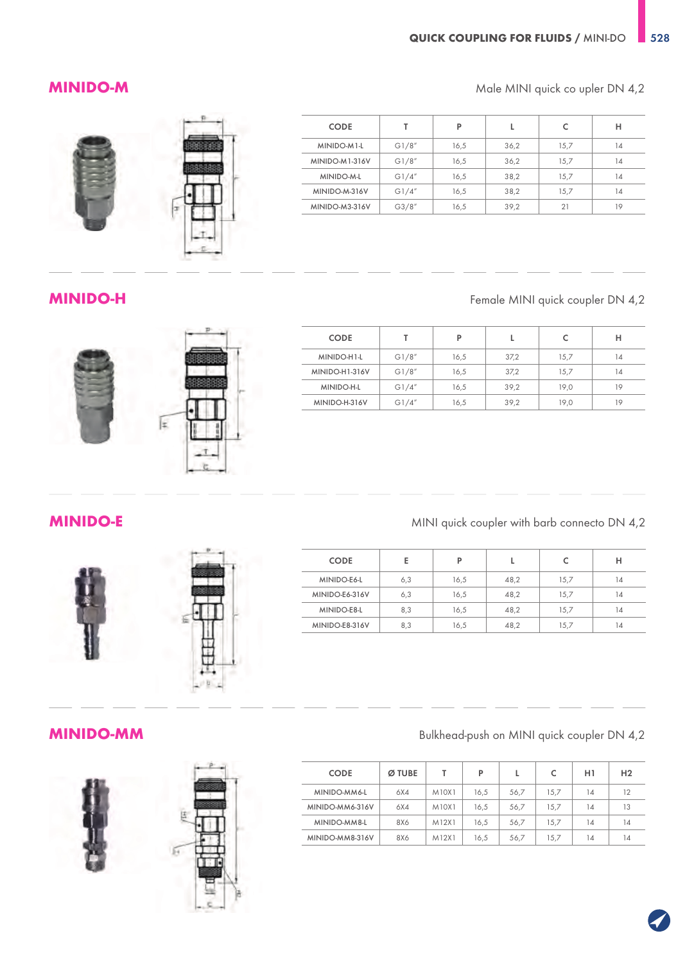### **MINIDO-M** Male MINI quick co upler DN 4,2

| <b>CODE</b>    |       | P    |      |      | н  |
|----------------|-------|------|------|------|----|
| MINIDO-M1-L    | G1/8" | 16,5 | 36,2 | 15,7 | 14 |
| MINIDO-M1-316V | G1/8" | 16,5 | 36,2 | 15.7 | 14 |
| MINIDO-M-L     | G1/4" | 16,5 | 38,2 | 15.7 | 14 |
| MINIDO-M-316V  | G1/4" | 16,5 | 38,2 | 15,7 | 14 |
| MINIDO-M3-316V | G3/8" | 16,5 | 39,2 | 21   | 19 |





## **MINIDO-H** Female MINI quick coupler DN 4,2

| <b>CODE</b>       |       | P    |      |      | н  |
|-------------------|-------|------|------|------|----|
| MINIDO-H1-L       | G1/8" | 16,5 | 37,2 | 15,7 | 14 |
| MINIDO-H1-316V    | G1/8" | 16,5 | 37,2 | 15,7 | 14 |
| <b>MINIDO-H-L</b> | G1/4" | 16,5 | 39,2 | 19,0 | 19 |
| MINIDO-H-316V     | G1/4" | 16,5 | 39,2 | 19,0 | 19 |



## **MINIDO-E** MINI quick coupler with barb connecto DN 4,2

| <b>CODE</b>    | Е   | P    |      |      | н  |
|----------------|-----|------|------|------|----|
| MINIDO-E6-L    | 6,3 | 16,5 | 48,2 | 15,7 | 14 |
| MINIDO-E6-316V | 6,3 | 16,5 | 48,2 | 15,7 | 14 |
| MINIDO-E8-L    | 8,3 | 16,5 | 48,2 | 15,7 | 14 |
| MINIDO-E8-316V | 8,3 | 16,5 | 48,2 | 15,7 | 14 |



## **MINIDO-MM** Bulkhead-push on MINI quick coupler DN 4,2

| <b>CODE</b>     | Ø TUBE |       | P    |      |      | H1 | H <sub>2</sub> |
|-----------------|--------|-------|------|------|------|----|----------------|
| MINIDO-MM6-L    | 6X4    | M10X1 | 16.5 | 56,7 | 15.7 | 14 | 12             |
| MINIDO-MM6-316V | 6X4    | M10X1 | 16.5 | 56,7 | 15.7 | 14 | 13             |
| MINIDO-MM8-L    | 8X6    | M12X1 | 16.5 | 56.7 | 15.7 | 14 | 14             |
| MINIDO-MM8-316V | 8X6    | M12X1 | 16.5 | 56,7 | 15.7 | 14 | 14             |









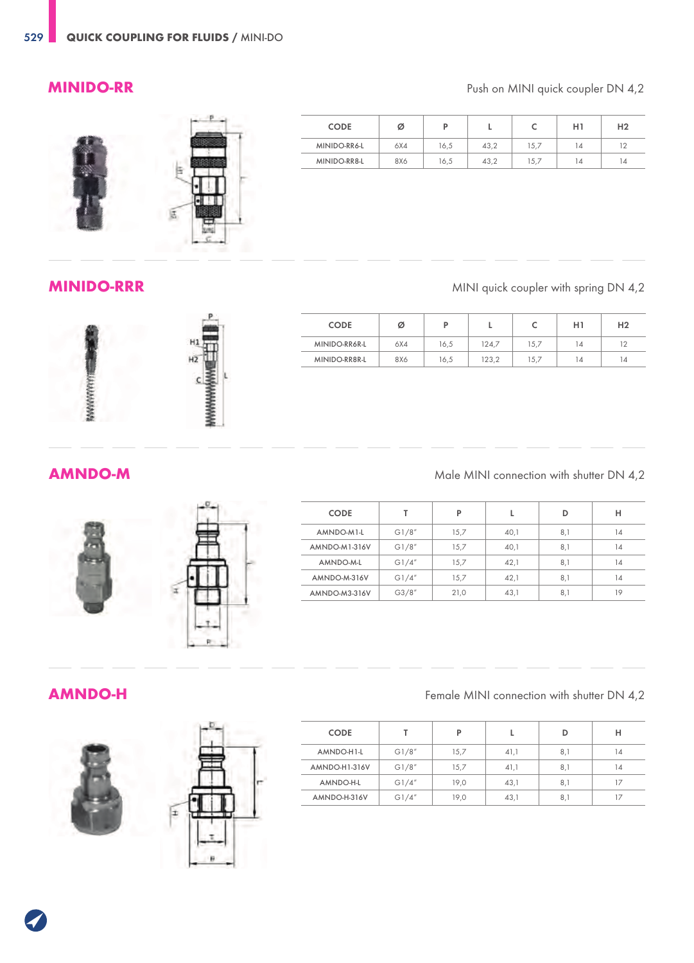### **MINIDO-RR** Push on MINI quick coupler DN 4,2



| <b>CODE</b>  | ø   |      |      | ◡    | H1 | H <sub>2</sub> |
|--------------|-----|------|------|------|----|----------------|
| MINIDO-RR6-L | 6X4 | 16.5 | 43.2 | 15.7 | 14 | 12             |
| MINIDO-RR8-L | 8X6 | 16,5 | 43.2 | 15.7 | 14 | 14             |

**MINIDO-RRR** MINI quick coupler with spring DN 4,2

|                | <b>CODE</b>   | ø   | D    |       |      | H1 | H <sub>2</sub> |
|----------------|---------------|-----|------|-------|------|----|----------------|
| H <sup>1</sup> | MINIDO-RR6R-L | 6X4 | 16,5 | 124,7 | 15,7 | 14 | 12             |
| ĦZ             | MINIDO-RR8R-L | 8X6 | 16,5 | 123,2 | 15,7 | 14 | 14             |
|                |               |     |      |       |      |    |                |



| <b>CODE</b>   |        | P    |      | D   | н  |
|---------------|--------|------|------|-----|----|
| AMNDO-M1-L    | G1/8"  | 15.7 | 40,1 | 8,1 | 14 |
| AMNDO-M1-316V | G1/8"  | 15,7 | 40,1 | 8,1 | 14 |
| AMNDO-M-L     | G1/4'' | 15,7 | 42,1 | 8,1 | 14 |
| AMNDO-M-316V  | G1/4"  | 15.7 | 42,1 | 8,1 | 14 |
| AMNDO-M3-316V | G3/8'' | 21,0 | 43,1 | 8,1 | 19 |





**AMNDO-H** 





| Female MINI connection with shutter DN 4,2 |  |  |  |  |  |
|--------------------------------------------|--|--|--|--|--|
|--------------------------------------------|--|--|--|--|--|

| <b>CODE</b>   |        | D    |      | D   | н  |
|---------------|--------|------|------|-----|----|
| AMNDO-H1-L    | G1/8'' | 15.7 | 41,1 | 8,1 | 14 |
| AMNDO-H1-316V | G1/8'' | 15.7 | 41,1 | 8,1 | 14 |
| AMNDO-H-L     | G1/4'' | 19.0 | 43,1 | 8,1 | 17 |
| AMNDO-H-316V  | G1/4'' | 19.0 | 43.1 | 8,1 |    |